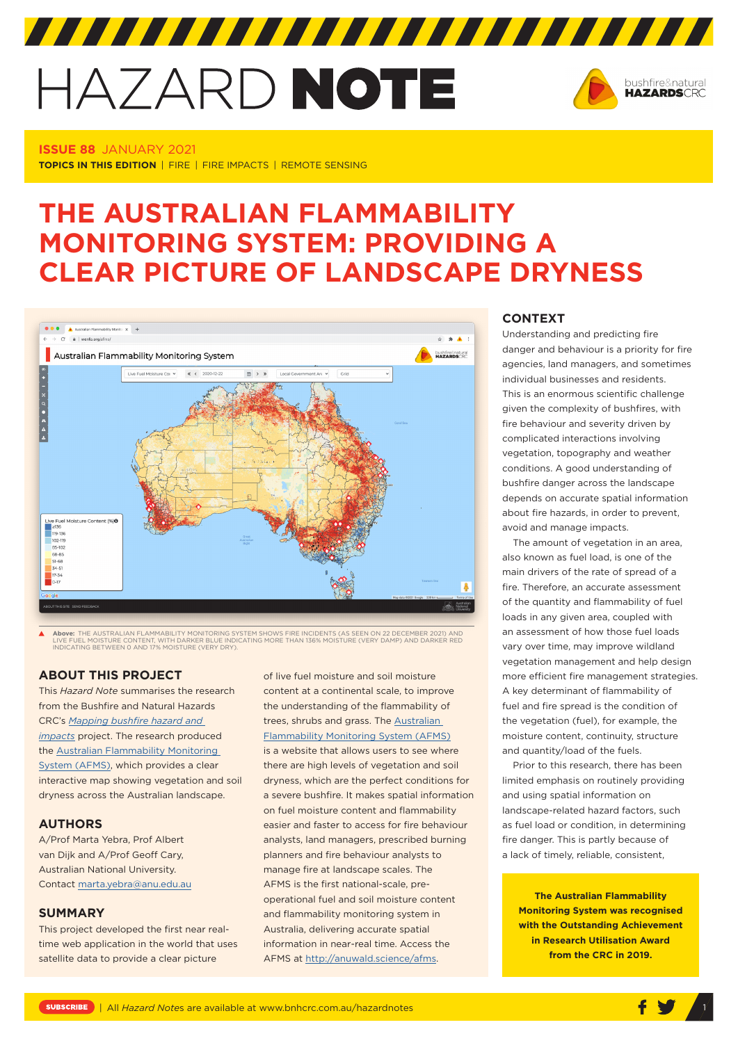# HAZARD NOTE



**ISSUE 88** JANUARY 2021 **TOPICS IN THIS EDITION** | FIRE | FIRE IMPACTS | REMOTE SENSING

## **THE AUSTRALIAN FLAMMABILITY MONITORING SYSTEM: PROVIDING A CLEAR PICTURE OF LANDSCAPE DRYNESS**



**Above:** THE AUSTRALIAN FLAMMABILITY MONITORING SYSTEM SHOWS FIRE INCIDENTS (AS SEEN ON 22 DECEMBER 2021) AND<br>LIVE FUEL MOISTURE CONTENT, WITH DARKER BLUE INDICATING MORE THAN 136% MOISTURE (VERY DAMP) AND DARKER RED<br>INDIC

#### **ABOUT THIS PROJECT**

This *Hazard Note* summarises the research from the Bushfire and Natural Hazards CRC's *[Mapping bushfire hazard and](https://www.bnhcrc.com.au/research/bushfireimpacts)  [impacts](https://www.bnhcrc.com.au/research/bushfireimpacts)* project. The research produced the [Australian Flammability Monitoring](http://anuwald.science/afms)  [System \(AFMS\)](http://anuwald.science/afms), which provides a clear interactive map showing vegetation and soil dryness across the Australian landscape.

#### **AUTHORS**

A/Prof Marta Yebra, Prof Albert van Dijk and A/Prof Geoff Cary, Australian National University. Contact [marta.yebra@anu.edu.au](mailto:marta.yebra@anu.edu.au)

#### **SUMMARY**

This project developed the first near realtime web application in the world that uses satellite data to provide a clear picture

of live fuel moisture and soil moisture content at a continental scale, to improve the understanding of the flammability of trees, shrubs and grass. The [Australian](http://anuwald.science/afms)  [Flammability Monitoring System \(AFMS](http://anuwald.science/afms)) is a website that allows users to see where there are high levels of vegetation and soil dryness, which are the perfect conditions for a severe bushfire. It makes spatial information on fuel moisture content and flammability easier and faster to access for fire behaviour analysts, land managers, prescribed burning planners and fire behaviour analysts to manage fire at landscape scales. The AFMS is the first national-scale, preoperational fuel and soil moisture content and flammability monitoring system in Australia, delivering accurate spatial information in near-real time. Access the AFMS at http://anuwald.science/afms.

#### **CONTEXT**

Understanding and predicting fire danger and behaviour is a priority for fire agencies, land managers, and sometimes individual businesses and residents. This is an enormous scientific challenge given the complexity of bushfires, with fire behaviour and severity driven by complicated interactions involving vegetation, topography and weather conditions. A good understanding of bushfire danger across the landscape depends on accurate spatial information about fire hazards, in order to prevent, avoid and manage impacts.

The amount of vegetation in an area, also known as fuel load, is one of the main drivers of the rate of spread of a fire. Therefore, an accurate assessment of the quantity and flammability of fuel loads in any given area, coupled with an assessment of how those fuel loads vary over time, may improve wildland vegetation management and help design more efficient fire management strategies. A key determinant of flammability of fuel and fire spread is the condition of the vegetation (fuel), for example, the moisture content, continuity, structure and quantity/load of the fuels.

Prior to this research, there has been limited emphasis on routinely providing and using spatial information on landscape-related hazard factors, such as fuel load or condition, in determining fire danger. This is partly because of a lack of timely, reliable, consistent,

**The Australian Flammability Monitoring System was recognised with the Outstanding Achievement in Research Utilisation Award from the CRC in 2019.**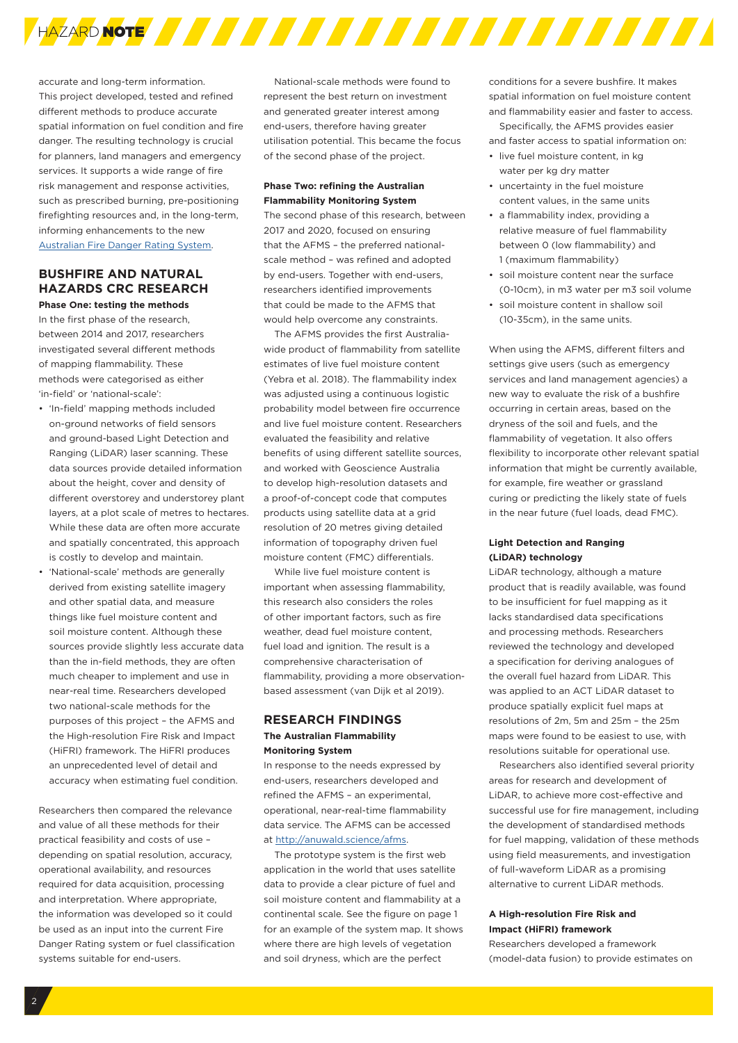

accurate and long-term information. This project developed, tested and refined different methods to produce accurate spatial information on fuel condition and fire danger. The resulting technology is crucial for planners, land managers and emergency services. It supports a wide range of fire risk management and response activities, such as prescribed burning, pre-positioning firefighting resources and, in the long-term, informing enhancements to the ne[w](https://www.bnhcrc.com.au/research/firedangerratings)  [Australian Fire Danger Rating System](https://www.bnhcrc.com.au/research/firedangerratings).

### **BUSHFIRE AND NATURAL HAZARDS CRC RESEARCH**

**Phase One: testing the methods**  In the first phase of the research, between 2014 and 2017, researchers investigated several different methods of mapping flammability. These methods were categorised as either 'in-field' or 'national-scale':

- 'In-field' mapping methods included on-ground networks of field sensors and ground-based Light Detection and Ranging (LiDAR) laser scanning. These data sources provide detailed information about the height, cover and density of different overstorey and understorey plant layers, at a plot scale of metres to hectares. While these data are often more accurate and spatially concentrated, this approach is costly to develop and maintain.
- 'National-scale' methods are generally derived from existing satellite imagery and other spatial data, and measure things like fuel moisture content and soil moisture content. Although these sources provide slightly less accurate data than the in-field methods, they are often much cheaper to implement and use in near-real time. Researchers developed two national-scale methods for the purposes of this project – the AFMS and the High-resolution Fire Risk and Impact (HiFRI) framework. The HiFRI produces an unprecedented level of detail and accuracy when estimating fuel condition.

Researchers then compared the relevance and value of all these methods for their practical feasibility and costs of use – depending on spatial resolution, accuracy, operational availability, and resources required for data acquisition, processing and interpretation. Where appropriate, the information was developed so it could be used as an input into the current Fire Danger Rating system or fuel classification systems suitable for end-users.

National-scale methods were found to represent the best return on investment and generated greater interest among end-users, therefore having greater utilisation potential. This became the focus of the second phase of the project.

#### **Phase Two: refining the Australian Flammability Monitoring System**

The second phase of this research, between 2017 and 2020, focused on ensuring that the AFMS – the preferred nationalscale method – was refined and adopted by end-users. Together with end-users, researchers identified improvements that could be made to the AFMS that would help overcome any constraints.

The AFMS provides the first Australiawide product of flammability from satellite estimates of live fuel moisture content (Yebra et al. 2018). The flammability index was adjusted using a continuous logistic probability model between fire occurrence and live fuel moisture content. Researchers evaluated the feasibility and relative benefits of using different satellite sources, and worked with Geoscience Australia to develop high-resolution datasets and a proof-of-concept code that computes products using satellite data at a grid resolution of 20 metres giving detailed information of topography driven fuel moisture content (FMC) differentials.

While live fuel moisture content is important when assessing flammability, this research also considers the roles of other important factors, such as fire weather, dead fuel moisture content, fuel load and ignition. The result is a comprehensive characterisation of flammability, providing a more observationbased assessment (van Dijk et al 2019).

#### **RESEARCH FINDINGS The Australian Flammability Monitoring System**

In response to the needs expressed by end-users, researchers developed and refined the AFMS – an experimental, operational, near-real-time flammability data service. The AFMS can be accessed at http://anuwald.science/afms.

The prototype system is the first web application in the world that uses satellite data to provide a clear picture of fuel and soil moisture content and flammability at a continental scale. See the figure on page 1 for an example of the system map. It shows where there are high levels of vegetation and soil dryness, which are the perfect

conditions for a severe bushfire. It makes spatial information on fuel moisture content and flammability easier and faster to access. Specifically, the AFMS provides easier

and faster access to spatial information on:

- live fuel moisture content, in kg water per kg dry matter
- uncertainty in the fuel moisture content values, in the same units
- a flammability index, providing a relative measure of fuel flammability between 0 (low flammability) and 1 (maximum flammability)
- soil moisture content near the surface (0-10cm), in m3 water per m3 soil volume
- soil moisture content in shallow soil (10-35cm), in the same units.

When using the AFMS, different filters and settings give users (such as emergency services and land management agencies) a new way to evaluate the risk of a bushfire occurring in certain areas, based on the dryness of the soil and fuels, and the flammability of vegetation. It also offers flexibility to incorporate other relevant spatial information that might be currently available, for example, fire weather or grassland curing or predicting the likely state of fuels in the near future (fuel loads, dead FMC).

#### **Light Detection and Ranging (LiDAR) technology**

LiDAR technology, although a mature product that is readily available, was found to be insufficient for fuel mapping as it lacks standardised data specifications and processing methods. Researchers reviewed the technology and developed a specification for deriving analogues of the overall fuel hazard from LiDAR. This was applied to an ACT LiDAR dataset to produce spatially explicit fuel maps at resolutions of 2m, 5m and 25m – the 25m maps were found to be easiest to use, with resolutions suitable for operational use.

Researchers also identified several priority areas for research and development of LiDAR, to achieve more cost-effective and successful use for fire management, including the development of standardised methods for fuel mapping, validation of these methods using field measurements, and investigation of full-waveform LiDAR as a promising alternative to current LiDAR methods.

#### **A High-resolution Fire Risk and Impact (HiFRI) framework**

Researchers developed a framework (model-data fusion) to provide estimates on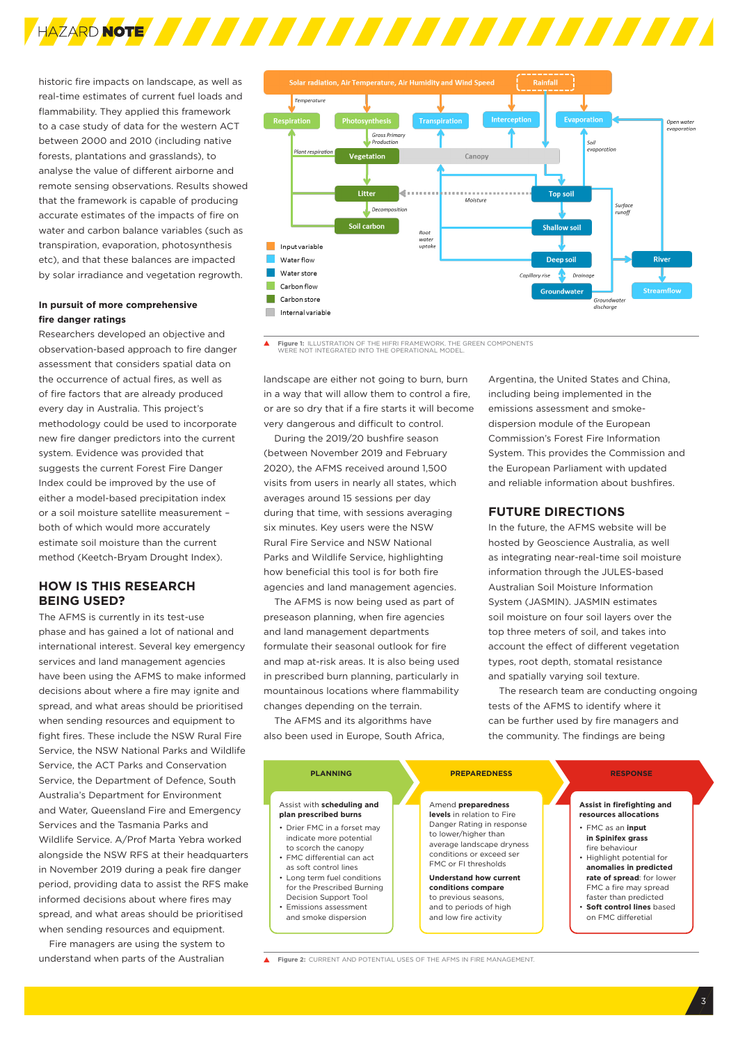

historic fire impacts on landscape, as well as real-time estimates of current fuel loads and flammability. They applied this framework to a case study of data for the western ACT between 2000 and 2010 (including native forests, plantations and grasslands), to analyse the value of different airborne and remote sensing observations. Results showed that the framework is capable of producing accurate estimates of the impacts of fire on water and carbon balance variables (such as transpiration, evaporation, photosynthesis etc), and that these balances are impacted by solar irradiance and vegetation regrowth.

#### **In pursuit of more comprehensive fire danger ratings**

Researchers developed an objective and observation-based approach to fire danger assessment that considers spatial data on the occurrence of actual fires, as well as of fire factors that are already produced every day in Australia. This project's methodology could be used to incorporate new fire danger predictors into the current system. Evidence was provided that suggests the current Forest Fire Danger Index could be improved by the use of either a model-based precipitation index or a soil moisture satellite measurement – both of which would more accurately estimate soil moisture than the current method (Keetch-Bryam Drought Index).

#### **HOW IS THIS RESEARCH BEING USED?**

The AFMS is currently in its test-use phase and has gained a lot of national and international interest. Several key emergency services and land management agencies have been using the AFMS to make informed decisions about where a fire may ignite and spread, and what areas should be prioritised when sending resources and equipment to fight fires. These include the NSW Rural Fire Service, the NSW National Parks and Wildlife Service, the ACT Parks and Conservation Service, the Department of Defence, South Australia's Department for Environment and Water, Queensland Fire and Emergency Services and the Tasmania Parks and Wildlife Service. A/Prof Marta Yebra worked alongside the NSW RFS at their headquarters in November 2019 during a peak fire danger period, providing data to assist the RFS make informed decisions about where fires may spread, and what areas should be prioritised when sending resources and equipment.

Fire managers are using the system to understand when parts of the Australian



 $\blacktriangle$ **Figure 1:** ILLUSTRATION OF THE HIFRI FRAMEWORK. THE GREEN COMPONENTS WERE NOT INTEGRATED INTO THE OPERATIONAL MODEL.

landscape are either not going to burn, burn in a way that will allow them to control a fire, or are so dry that if a fire starts it will become very dangerous and difficult to control.

During the 2019/20 bushfire season (between November 2019 and February 2020), the AFMS received around 1,500 visits from users in nearly all states, which averages around 15 sessions per day during that time, with sessions averaging six minutes. Key users were the NSW Rural Fire Service and NSW National Parks and Wildlife Service, highlighting how beneficial this tool is for both fire agencies and land management agencies.

The AFMS is now being used as part of preseason planning, when fire agencies and land management departments formulate their seasonal outlook for fire and map at-risk areas. It is also being used in prescribed burn planning, particularly in mountainous locations where flammability changes depending on the terrain.

The AFMS and its algorithms have also been used in Europe, South Africa,

Argentina, the United States and China, including being implemented in the emissions assessment and smokedispersion module of the European Commission's Forest Fire Information System. This provides the Commission and the European Parliament with updated and reliable information about bushfires.

#### **FUTURE DIRECTIONS**

In the future, the AFMS website will be hosted by Geoscience Australia, as well as integrating near-real-time soil moisture information through the JULES-based Australian Soil Moisture Information System (JASMIN). JASMIN estimates soil moisture on four soil layers over the top three meters of soil, and takes into account the effect of different vegetation types, root depth, stomatal resistance and spatially varying soil texture.

The research team are conducting ongoing tests of the AFMS to identify where it can be further used by fire managers and the community. The findings are being



**Figure 2:** CURRENT AND POTENTIAL USES OF THE AFMS IN FIRE MANAGEMENT.